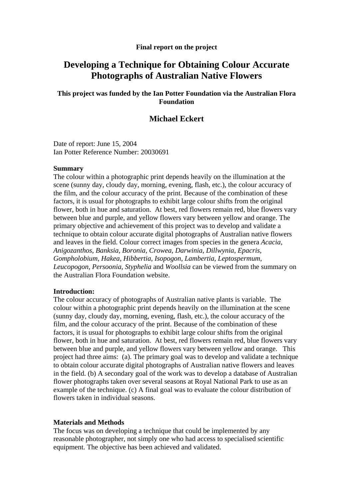# **Final report on the project**

# **Developing a Technique for Obtaining Colour Accurate Photographs of Australian Native Flowers**

# **This project was funded by the Ian Potter Foundation via the Australian Flora Foundation**

# **Michael Eckert**

Date of report: June 15, 2004 Ian Potter Reference Number: 20030691

#### **Summary**

The colour within a photographic print depends heavily on the illumination at the scene (sunny day, cloudy day, morning, evening, flash, etc.), the colour accuracy of the film, and the colour accuracy of the print. Because of the combination of these factors, it is usual for photographs to exhibit large colour shifts from the original flower, both in hue and saturation. At best, red flowers remain red, blue flowers vary between blue and purple, and yellow flowers vary between yellow and orange. The primary objective and achievement of this project was to develop and validate a technique to obtain colour accurate digital photographs of Australian native flowers and leaves in the field. Colour correct images from species in the genera *Acacia*, *Anigozanthos*, *Banksia*, *Boronia*, *Crowea*, *Darwinia*, *Dillwynia*, *Epacris*, *Gompholobium*, *Hakea*, *Hibbertia*, *Isopogon*, *Lambertia*, *Leptospermum*, *Leucopogon*, *Persoonia*, *Styphelia* and *Woollsia* can be viewed from the summary on the Australian Flora Foundation website.

#### **Introduction:**

The colour accuracy of photographs of Australian native plants is variable. The colour within a photographic print depends heavily on the illumination at the scene (sunny day, cloudy day, morning, evening, flash, etc.), the colour accuracy of the film, and the colour accuracy of the print. Because of the combination of these factors, it is usual for photographs to exhibit large colour shifts from the original flower, both in hue and saturation. At best, red flowers remain red, blue flowers vary between blue and purple, and yellow flowers vary between yellow and orange. This project had three aims: (a). The primary goal was to develop and validate a technique to obtain colour accurate digital photographs of Australian native flowers and leaves in the field. (b) A secondary goal of the work was to develop a database of Australian flower photographs taken over several seasons at Royal National Park to use as an example of the technique. (c) A final goal was to evaluate the colour distribution of flowers taken in individual seasons.

#### **Materials and Methods**

The focus was on developing a technique that could be implemented by any reasonable photographer, not simply one who had access to specialised scientific equipment. The objective has been achieved and validated.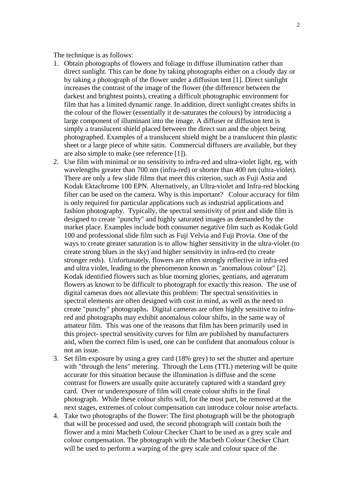The technique is as follows:

- 1. Obtain photographs of flowers and foliage in diffuse illumination rather than direct sunlight. This can be done by taking photographs either on a cloudy day or by taking a photograph of the flower under a diffusion tent [1]. Direct sunlight increases the contrast of the image of the flower (the difference between the darkest and brightest points), creating a difficult photographic environment for film that has a limited dynamic range. In addition, direct sunlight creates shifts in the colour of the flower (essentially it de-saturates the colours) by introducing a large component of illuminant into the image. A diffuser or diffusion tent is simply a translucent shield placed between the direct sun and the object being photographed. Examples of a translucent shield might be a translucent thin plastic sheet or a large piece of white satin. Commercial diffusers are available, but they are also simple to make (see reference [1]).
- 2. Use film with minimal or no sensitivity to infra-red and ultra-violet light, eg, with wavelengths greater than 700 nm (infra-red) or shorter than 400 nm (ultra-violet). There are only a few slide films that meet this criterion, such as Fuji Astia and Kodak Ektachrome 100 EPN. Alternatively, an Ultra-violet and Infra-red blocking filter can be used on the camera. Why is this important? Colour accuracy for film is only required for particular applications such as industrial applications and fashion photography. Typically, the spectral sensitivity of print and slide film is designed to create "punchy" and highly saturated images as demanded by the market place. Examples include both consumer negative film such as Kodak Gold 100 and professional slide film such as Fuji Velvia and Fuji Provia. One of the ways to create greater saturation is to allow higher sensitivity in the ultra-violet (to create strong blues in the sky) and higher sensitivity in infra-red (to create stronger reds). Unfortunately, flowers are often strongly reflective in infra-red and ultra violet, leading to the phenomenon known as "anomalous colour" [2]. Kodak identified flowers such as blue morning glories, gentians, and ageratum flowers as known to be difficult to photograph for exactly this reason. The use of digital cameras does not alleviate this problem: The spectral sensitivities in spectral elements are often designed with cost in mind, as well as the need to create "punchy" photographs. Digital cameras are often highly sensitive to infrared and photographs may exhibit anomalous colour shifts, in the same way of amateur film. This was one of the reasons that film has been primarily used in this project- spectral sensitivity curves for film are published by manufacturers and, when the correct film is used, one can be confident that anomalous colour is not an issue.
- 3. Set film exposure by using a grey card (18% grey) to set the shutter and aperture with "through the lens" metering. Through the Lens (TTL) metering will be quite accurate for this situation because the illumination is diffuse and the scene contrast for flowers are usually quite accurately captured with a standard grey card. Over or underexposure of film will create colour shifts in the final photograph. While these colour shifts will, for the most part, be removed at the next stages, extremes of colour compensation can introduce colour noise artefacts.
- 4. Take two photographs of the flower: The first photograph will be the photograph that will be processed and used, the second photograph will contain both the flower and a mini Macbeth Colour Checker Chart to be used as a grey scale and colour compensation. The photograph with the Macbeth Colour Checker Chart will be used to perform a warping of the grey scale and colour space of the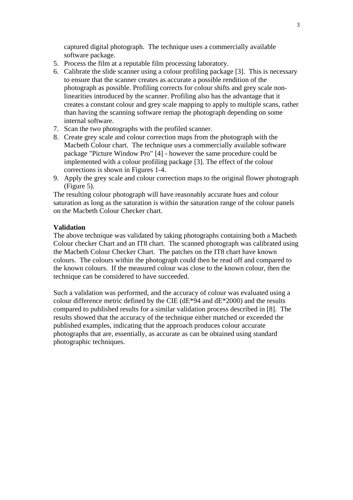captured digital photograph. The technique uses a commercially available software package.

- 5. Process the film at a reputable film processing laboratory.
- 6. Calibrate the slide scanner using a colour profiling package [3]. This is necessary to ensure that the scanner creates as accurate a possible rendition of the photograph as possible. Profiling corrects for colour shifts and grey scale nonlinearities introduced by the scanner. Profiling also has the advantage that it creates a constant colour and grey scale mapping to apply to multiple scans, rather than having the scanning software remap the photograph depending on some internal software.
- 7. Scan the two photographs with the profiled scanner.
- 8. Create grey scale and colour correction maps from the photograph with the Macbeth Colour chart. The technique uses a commercially available software package "Picture Window Pro" [4] - however the same procedure could be implemented with a colour profiling package [3]. The effect of the colour corrections is shown in Figures 1-4.
- 9. Apply the grey scale and colour correction maps to the original flower photograph (Figure 5).

The resulting colour photograph will have reasonably accurate hues and colour saturation as long as the saturation is within the saturation range of the colour panels on the Macbeth Colour Checker chart.

#### **Validation**

The above technique was validated by taking photographs containing both a Macbeth Colour checker Chart and an IT8 chart. The scanned photograph was calibrated using the Macbeth Colour Checker Chart. The patches on the IT8 chart have known colours. The colours within the photograph could then be read off and compared to the known colours. If the measured colour was close to the known colour, then the technique can be considered to have succeeded.

Such a validation was performed, and the accuracy of colour was evaluated using a colour difference metric defined by the CIE (dE\*94 and dE\*2000) and the results compared to published results for a similar validation process described in [8]. The results showed that the accuracy of the technique either matched or exceeded the published examples, indicating that the approach produces colour accurate photographs that are, essentially, as accurate as can be obtained using standard photographic techniques.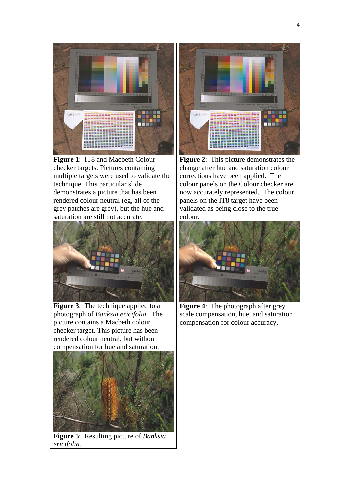

**Figure 1**: IT8 and Macbeth Colour checker targets. Pictures containing multiple targets were used to validate the technique. This particular slide demonstrates a picture that has been rendered colour neutral (eg, all of the grey patches are grey), but the hue and saturation are still not accurate.



**Figure 3:** The technique applied to a photograph of *Banksia ericifolia*. The picture contains a Macbeth colour checker target. This picture has been rendered colour neutral, but without compensation for hue and saturation.



**Figure 5**: Resulting picture of *Banksia ericifolia.*



**Figure 2**: This picture demonstrates the change after hue and saturation colour corrections have been applied. The colour panels on the Colour checker are now accurately represented. The colour panels on the IT8 target have been validated as being close to the true colour.



**Figure 4:** The photograph after grey scale compensation, hue, and saturation compensation for colour accuracy.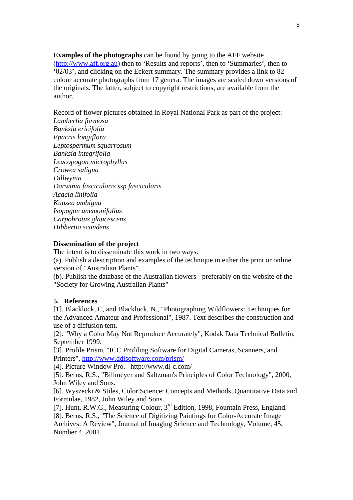**Examples of the photographs** can be found by going to the AFF website (http://www.aff.org.au) then to 'Results and reports', then to 'Summaries', then to '02/03', and clicking on the Eckert summary. The summary provides a link to 82 colour accurate photographs from 17 genera. The images are scaled down versions of the originals. The latter, subject to copyright restrictions, are available from the author.

Record of flower pictures obtained in Royal National Park as part of the project: *Lambertia formosa Banksia ericifolia Epacris longiflora Leptospermum squarrosum Banksia integrifolia Leucopogon microphyllus Crowea saligna Dillwynia Darwinia fascicularis ssp fascicularis Acacia linifolia Kunzea ambigua Isopogon anemonifolius Carpobrotus glaucescens Hibbertia scandens* 

## **Dissemination of the project**

The intent is to disseminate this work in two ways: (a). Publish a description and examples of the technique in either the print or online version of "Australian Plants".

(b). Publish the database of the Australian flowers - preferably on the website of the "Society for Growing Australian Plants"

### **5. References**

[1]. Blacklock, C, and Blacklock, N., "Photographing Wildflowers: Techniques for the Advanced Amateur and Professional", 1987. Text describes the construction and use of a diffusion tent.

[2]. "Why a Color May Not Reproduce Accurately", Kodak Data Technical Bulletin, September 1999.

[3]. Profile Prism, "ICC Profiling Software for Digital Cameras, Scanners, and Printers", http://www.ddisoftware.com/prism/

[4]. Picture Window Pro. http://www.dl-c.com/

[5]. Berns, R.S., "Billmeyer and Saltzman's Principles of Color Technology", 2000, John Wiley and Sons.

[6]. Wyszecki & Stiles, Color Science: Concepts and Methods, Quantitative Data and Formulae, 1982, John Wiley and Sons.

[7]. Hunt, R.W.G., Measuring Colour, 3<sup>rd</sup> Edition, 1998, Fountain Press, England. [8]. Berns, R.S., "The Science of Digitizing Paintings for Color-Accurate Image Archives: A Review", Journal of Imaging Science and Technology, Volume, 45, Number 4, 2001.